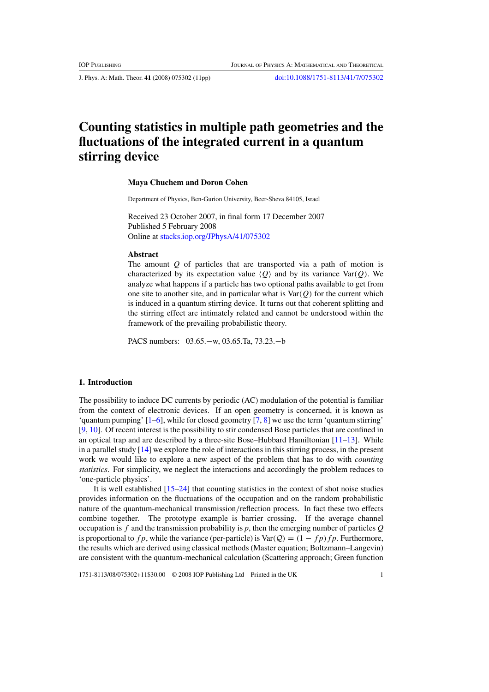J. Phys. A: Math. Theor. **41** (2008) 075302 (11pp) [doi:10.1088/1751-8113/41/7/075302](http://dx.doi.org/10.1088/1751-8113/41/7/075302)

# **Counting statistics in multiple path geometries and the fluctuations of the integrated current in a quantum stirring device**

# **Maya Chuchem and Doron Cohen**

Department of Physics, Ben-Gurion University, Beer-Sheva 84105, Israel

Received 23 October 2007, in final form 17 December 2007 Published 5 February 2008 Online at [stacks.iop.org/JPhysA/41/075302](http://stacks.iop.org/JPhysA/41/075302)

#### **Abstract**

The amount *Q* of particles that are transported via a path of motion is characterized by its expectation value  $\langle Q \rangle$  and by its variance Var $(Q)$ . We analyze what happens if a particle has two optional paths available to get from one site to another site, and in particular what is Var*(Q)* for the current which is induced in a quantum stirring device. It turns out that coherent splitting and the stirring effect are intimately related and cannot be understood within the framework of the prevailing probabilistic theory.

PACS numbers: 03.65.−w, 03.65.Ta, 73.23.−b

## **1. Introduction**

The possibility to induce DC currents by periodic (AC) modulation of the potential is familiar from the context of electronic devices. If an open geometry is concerned, it is known as 'quantum pumping'  $[1-6]$  $[1-6]$ , while for closed geometry  $[7, 8]$  $[7, 8]$  $[7, 8]$  we use the term 'quantum stirring' [\[9](#page-10-0), [10\]](#page-10-0). Of recent interest is the possibility to stir condensed Bose particles that are confined in an optical trap and are described by a three-site Bose–Hubbard Hamiltonian [\[11–13](#page-10-0)]. While in a parallel study [\[14\]](#page-10-0) we explore the role of interactions in this stirring process, in the present work we would like to explore a new aspect of the problem that has to do with *counting statistics*. For simplicity, we neglect the interactions and accordingly the problem reduces to 'one-particle physics'.

It is well established [\[15–24\]](#page-10-0) that counting statistics in the context of shot noise studies provides information on the fluctuations of the occupation and on the random probabilistic nature of the quantum-mechanical transmission*/*reflection process. In fact these two effects combine together. The prototype example is barrier crossing. If the average channel occupation is *f* and the transmission probability is *p*, then the emerging number of particles *Q* is proportional to  $fp$ , while the variance (per-particle) is  $Var(Q) = (1 - fp)fp$ . Furthermore, the results which are derived using classical methods (Master equation; Boltzmann–Langevin) are consistent with the quantum-mechanical calculation (Scattering approach; Green function

1751-8113/08/075302+11\$30.00 © 2008 IOP Publishing Ltd Printed in the UK 1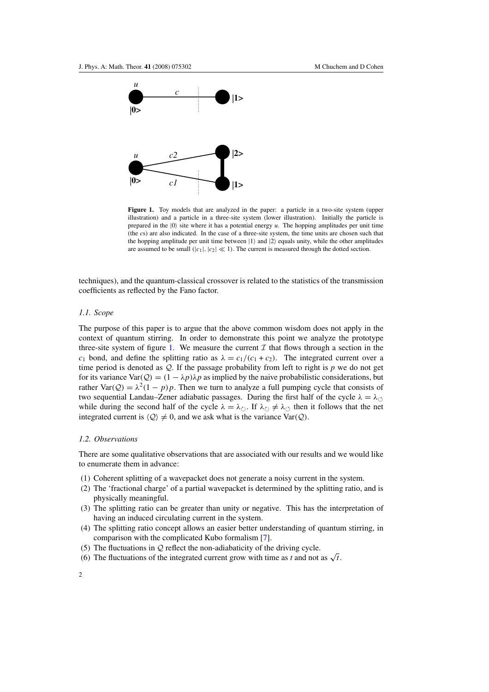<span id="page-1-0"></span>

Figure 1. Toy models that are analyzed in the paper: a particle in a two-site system (upper illustration) and a particle in a three-site system (lower illustration). Initially the particle is prepared in the  $|0\rangle$  site where it has a potential energy  $u$ . The hopping amplitudes per unit time (the *c*s) are also indicated. In the case of a three-site system, the time units are chosen such that the hopping amplitude per unit time between  $|1\rangle$  and  $|2\rangle$  equals unity, while the other amplitudes are assumed to be small  $(|c_1|, |c_2| \ll 1)$ . The current is measured through the dotted section.

techniques), and the quantum-classical crossover is related to the statistics of the transmission coefficients as reflected by the Fano factor.

# *1.1. Scope*

The purpose of this paper is to argue that the above common wisdom does not apply in the context of quantum stirring. In order to demonstrate this point we analyze the prototype three-site system of figure 1. We measure the current  $\mathcal I$  that flows through a section in the *c*<sub>1</sub> bond, and define the splitting ratio as  $\lambda = c_1/(c_1 + c_2)$ . The integrated current over a time period is denoted as  $Q$ . If the passage probability from left to right is  $p$  we do not get for its variance  $\text{Var}(Q) = (1 - \lambda p)\lambda p$  as implied by the naive probabilistic considerations, but rather Var( $Q$ ) =  $\lambda^2(1-p)p$ . Then we turn to analyze a full pumping cycle that consists of two sequential Landau–Zener adiabatic passages. During the first half of the cycle  $\lambda = \lambda_{\circlearrowleft}$ while during the second half of the cycle  $\lambda = \lambda_{\circlearrowright}$ . If  $\lambda_{\circlearrowright} \neq \lambda_{\circlearrowleft}$  then it follows that the net integrated current is  $\langle Q \rangle \neq 0$ , and we ask what is the variance Var $(Q)$ .

## *1.2. Observations*

There are some qualitative observations that are associated with our results and we would like to enumerate them in advance:

- (1) Coherent splitting of a wavepacket does not generate a noisy current in the system.
- (2) The 'fractional charge' of a partial wavepacket is determined by the splitting ratio, and is physically meaningful.
- (3) The splitting ratio can be greater than unity or negative. This has the interpretation of having an induced circulating current in the system.
- (4) The splitting ratio concept allows an easier better understanding of quantum stirring, in comparison with the complicated Kubo formalism [\[7](#page-10-0)].
- (5) The fluctuations in  $Q$  reflect the non-adiabaticity of the driving cycle.
- (6) The fluctuations of the integrated current grow with time as *t* and not as  $\sqrt{t}$ .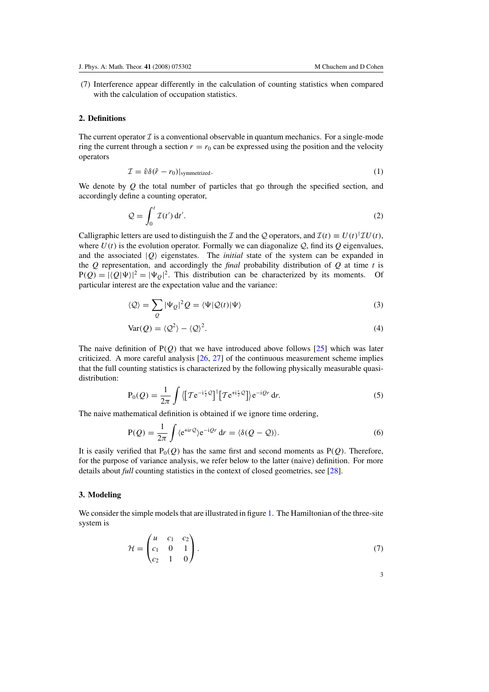(7) Interference appear differently in the calculation of counting statistics when compared with the calculation of occupation statistics.

## **2. Definitions**

The current operator  $\mathcal I$  is a conventional observable in quantum mechanics. For a single-mode ring the current through a section  $r = r_0$  can be expressed using the position and the velocity operators

$$
\mathcal{I} = \hat{v}\delta(\hat{r} - r_0)|_{symmetrized}.
$$
 (1)

We denote by *Q* the total number of particles that go through the specified section, and accordingly define a counting operator,

$$
\mathcal{Q} = \int_0^t \mathcal{I}(t') dt'.
$$
 (2)

Calligraphic letters are used to distinguish the *I* and the *Q* operators, and  $\mathcal{I}(t) \equiv U(t)^\dagger \mathcal{I} U(t)$ , where  $U(t)$  is the evolution operator. Formally we can diagonalize  $Q$ , find its  $Q$  eigenvalues, and the associated  $|Q\rangle$  eigenstates. The *initial* state of the system can be expanded in the *Q* representation, and accordingly the *final* probability distribution of *Q* at time *t* is  $P(Q) = |\langle Q | \Psi \rangle|^2 = |\Psi_Q|^2$ . This distribution can be characterized by its moments. Of particular interest are the expectation value and the variance:

$$
\langle \mathcal{Q} \rangle = \sum_{Q} |\Psi_{Q}|^{2} Q = \langle \Psi | \mathcal{Q}(t) | \Psi \rangle \tag{3}
$$

$$
Var(Q) = \langle Q^2 \rangle - \langle Q \rangle^2. \tag{4}
$$

The naive definition of P*(Q)* that we have introduced above follows [\[25\]](#page-10-0) which was later criticized. A more careful analysis  $[26, 27]$  $[26, 27]$  $[26, 27]$  of the continuous measurement scheme implies that the full counting statistics is characterized by the following physically measurable quasidistribution:

$$
P_0(Q) = \frac{1}{2\pi} \int \left\langle \left[ T e^{-i\frac{r}{2}Q} \right]^\dagger \left[ T e^{+i\frac{r}{2}Q} \right] \right\rangle e^{-iQr} dr. \tag{5}
$$

The naive mathematical definition is obtained if we ignore time ordering,

$$
P(Q) = \frac{1}{2\pi} \int \langle e^{+ir\mathcal{Q}} \rangle e^{-i\mathcal{Q}r} dr = \langle \delta(Q - \mathcal{Q}) \rangle.
$$
 (6)

It is easily verified that  $P_0(Q)$  has the same first and second moments as  $P(Q)$ . Therefore, for the purpose of variance analysis, we refer below to the latter (naive) definition. For more details about *full* counting statistics in the context of closed geometries, see [\[28\]](#page-10-0).

# **3. Modeling**

We consider the simple models that are illustrated in figure [1.](#page-1-0) The Hamiltonian of the three-site system is

$$
\mathcal{H} = \begin{pmatrix} u & c_1 & c_2 \\ c_1 & 0 & 1 \\ c_2 & 1 & 0 \end{pmatrix} . \tag{7}
$$

3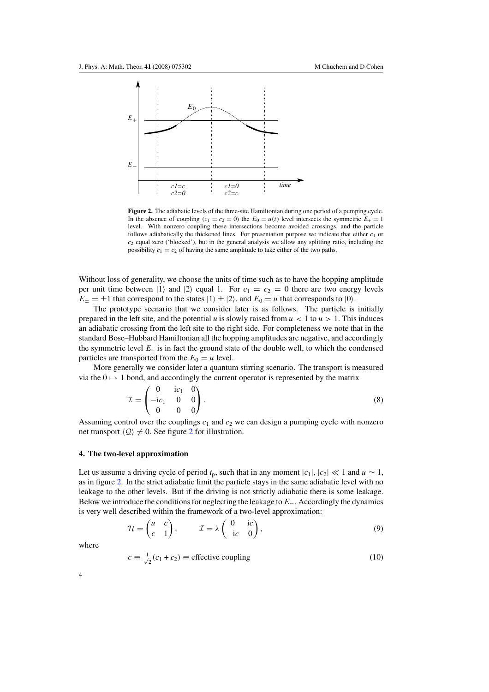<span id="page-3-0"></span>

**Figure 2.** The adiabatic levels of the three-site Hamiltonian during one period of a pumping cycle. In the absence of coupling  $(c_1 = c_2 = 0)$  the  $E_0 = u(t)$  level intersects the symmetric  $E_+ = 1$ level. With nonzero coupling these intersections become avoided crossings, and the particle follows adiabatically the thickened lines. For presentation purpose we indicate that either  $c<sub>1</sub>$  or *c*<sup>2</sup> equal zero ('blocked'), but in the general analysis we allow any splitting ratio, including the possibility  $c_1 = c_2$  of having the same amplitude to take either of the two paths.

Without loss of generality, we choose the units of time such as to have the hopping amplitude per unit time between  $|1\rangle$  and  $|2\rangle$  equal 1. For  $c_1 = c_2 = 0$  there are two energy levels  $E_{\pm} = \pm 1$  that correspond to the states  $|1\rangle \pm |2\rangle$ , and  $E_0 = u$  that corresponds to  $|0\rangle$ .

The prototype scenario that we consider later is as follows. The particle is initially prepared in the left site, and the potential *u* is slowly raised from  $u < 1$  to  $u > 1$ . This induces an adiabatic crossing from the left site to the right side. For completeness we note that in the standard Bose–Hubbard Hamiltonian all the hopping amplitudes are negative, and accordingly the symmetric level  $E_{+}$  is in fact the ground state of the double well, to which the condensed particles are transported from the  $E_0 = u$  level.

More generally we consider later a quantum stirring scenario. The transport is measured via the  $0 \mapsto 1$  bond, and accordingly the current operator is represented by the matrix

$$
\mathcal{I} = \begin{pmatrix} 0 & ic_1 & 0 \\ -ic_1 & 0 & 0 \\ 0 & 0 & 0 \end{pmatrix} . \tag{8}
$$

Assuming control over the couplings  $c_1$  and  $c_2$  we can design a pumping cycle with nonzero net transport  $\langle Q \rangle \neq 0$ . See figure 2 for illustration.

# **4. The two-level approximation**

Let us assume a driving cycle of period  $t_p$ , such that in any moment  $|c_1|, |c_2| \ll 1$  and  $u \sim 1$ , as in figure 2. In the strict adiabatic limit the particle stays in the same adiabatic level with no leakage to the other levels. But if the driving is not strictly adiabatic there is some leakage. Below we introduce the conditions for neglecting the leakage to *E*−*.* Accordingly the dynamics is very well described within the framework of a two-level approximation:

$$
\mathcal{H} = \begin{pmatrix} u & c \\ c & 1 \end{pmatrix}, \qquad \mathcal{I} = \lambda \begin{pmatrix} 0 & ic \\ -ic & 0 \end{pmatrix}, \tag{9}
$$

where

$$
c \equiv \frac{1}{\sqrt{2}}(c_1 + c_2) \equiv \text{effective coupling} \tag{10}
$$

4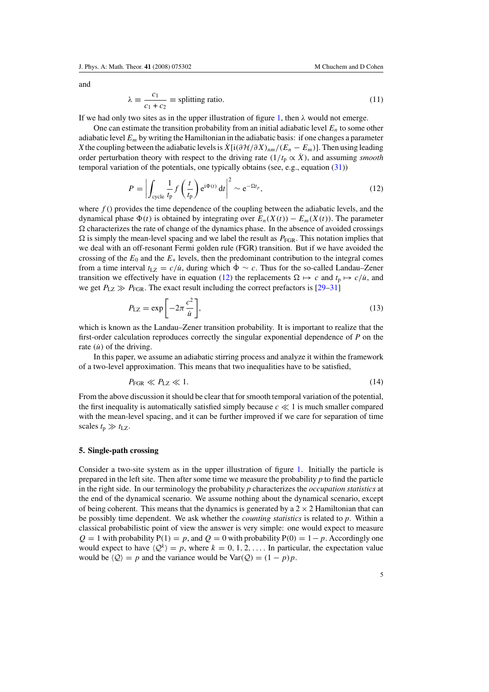<span id="page-4-0"></span>and

$$
\lambda \equiv \frac{c_1}{c_1 + c_2} \equiv \text{splitting ratio.} \tag{11}
$$

If we had only two sites as in the upper illustration of figure [1,](#page-1-0) then  $\lambda$  would not emerge.

One can estimate the transition probability from an initial adiabatic level *En* to some other adiabatic level *Em* by writing the Hamiltonian in the adiabatic basis: if one changes a parameter *X* the coupling between the adiabatic levels is  $\dot{X}$ [i $(\partial \mathcal{H}/\partial X)_{nm}/(E_n - E_m)$ ]. Then using leading order perturbation theory with respect to the driving rate  $(1/t_p \propto \dot{X})$ , and assuming *smooth* temporal variation of the potentials, one typically obtains (see, e.g., equation [\(31\)](#page-8-0))

$$
P = \left| \int_{\text{cycle}} \frac{1}{t_{\text{p}}} f\left(\frac{t}{t_{\text{p}}}\right) e^{i\Phi(t)} dt \right|^2 \sim e^{-\Omega t_p}, \tag{12}
$$

where  $f()$  provides the time dependence of the coupling between the adiabatic levels, and the dynamical phase  $\Phi(t)$  is obtained by integrating over  $E_n(X(t)) - E_m(X(t))$ . The parameter  $\Omega$  characterizes the rate of change of the dynamics phase. In the absence of avoided crossings  $\Omega$  is simply the mean-level spacing and we label the result as  $P_{FGR}$ . This notation implies that we deal with an off-resonant Fermi golden rule (FGR) transition. But if we have avoided the crossing of the  $E_0$  and the  $E_+$  levels, then the predominant contribution to the integral comes from a time interval  $t_{\text{LZ}} = c/\dot{u}$ , during which  $\dot{\Phi} \sim c$ . Thus for the so-called Landau–Zener transition we effectively have in equation (12) the replacements  $\Omega \mapsto c$  and  $t_p \mapsto c/\mu$ , and we get  $P_{\text{LZ}} \gg P_{\text{FGR}}$ . The exact result including the correct prefactors is [\[29–31](#page-10-0)]

$$
P_{\text{LZ}} = \exp\left[-2\pi \frac{c^2}{i\omega}\right],\tag{13}
$$

which is known as the Landau–Zener transition probability. It is important to realize that the first-order calculation reproduces correctly the singular exponential dependence of *P* on the rate  $(i)$  of the driving.

In this paper, we assume an adiabatic stirring process and analyze it within the framework of a two-level approximation. This means that two inequalities have to be satisfied,

$$
P_{\text{FGR}} \ll P_{\text{LZ}} \ll 1. \tag{14}
$$

From the above discussion it should be clear that for smooth temporal variation of the potential, the first inequality is automatically satisfied simply because  $c \ll 1$  is much smaller compared with the mean-level spacing, and it can be further improved if we care for separation of time scales  $t_p \gg t_{\text{LZ}}$ .

#### **5. Single-path crossing**

Consider a two-site system as in the upper illustration of figure [1.](#page-1-0) Initially the particle is prepared in the left site. Then after some time we measure the probability *p* to find the particle in the right side. In our terminology the probability *p* characterizes the *occupation statistics* at the end of the dynamical scenario. We assume nothing about the dynamical scenario, except of being coherent. This means that the dynamics is generated by a  $2 \times 2$  Hamiltonian that can be possibly time dependent. We ask whether the *counting statistics* is related to *p*. Within a classical probabilistic point of view the answer is very simple: one would expect to measure  $Q = 1$  with probability  $P(1) = p$ , and  $Q = 0$  with probability  $P(0) = 1 - p$ . Accordingly one would expect to have  $\langle Q^k \rangle = p$ , where  $k = 0, 1, 2, \dots$  In particular, the expectation value would be  $\langle Q \rangle = p$  and the variance would be  $\text{Var}(Q) = (1 - p)p$ .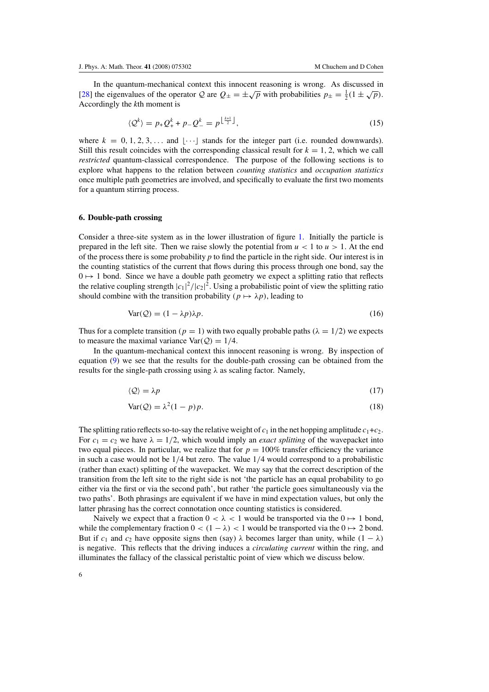<span id="page-5-0"></span>In the quantum-mechanical context this innocent reasoning is wrong. As discussed in [\[28](#page-10-0)] the eigenvalues of the operator Q are  $Q_{\pm} = \pm \sqrt{p}$  with probabilities  $p_{\pm} = \frac{1}{2} (1 \pm \sqrt{p}).$ Accordingly the *k*th moment is

$$
\langle \mathcal{Q}^k \rangle = p_+ \mathcal{Q}_+^k + p_- \mathcal{Q}_-^k = p^{\left\lfloor \frac{k+1}{2} \right\rfloor},\tag{15}
$$

where  $k = 0, 1, 2, 3, \ldots$  and  $|\cdots|$  stands for the integer part (i.e. rounded downwards). Still this result coincides with the corresponding classical result for  $k = 1, 2$ , which we call *restricted* quantum-classical correspondence. The purpose of the following sections is to explore what happens to the relation between *counting statistics* and *occupation statistics* once multiple path geometries are involved, and specifically to evaluate the first two moments for a quantum stirring process.

#### **6. Double-path crossing**

Consider a three-site system as in the lower illustration of figure [1.](#page-1-0) Initially the particle is prepared in the left site. Then we raise slowly the potential from  $u < 1$  to  $u > 1$ . At the end of the process there is some probability *p* to find the particle in the right side. Our interest is in the counting statistics of the current that flows during this process through one bond, say the  $0 \mapsto 1$  bond. Since we have a double path geometry we expect a splitting ratio that reflects the relative coupling strength  $|c_1|^2/|c_2|^2$ . Using a probabilistic point of view the splitting ratio should combine with the transition probability  $(p \mapsto \lambda p)$ , leading to

$$
Var(Q) = (1 - \lambda p)\lambda p.
$$
\n(16)

Thus for a complete transition  $(p = 1)$  with two equally probable paths  $(\lambda = 1/2)$  we expects to measure the maximal variance  $Var(Q) = 1/4$ .

In the quantum-mechanical context this innocent reasoning is wrong. By inspection of equation [\(9\)](#page-3-0) we see that the results for the double-path crossing can be obtained from the results for the single-path crossing using *λ* as scaling factor. Namely,

$$
\langle \mathcal{Q} \rangle = \lambda p \tag{17}
$$

$$
Var(Q) = \lambda^2 (1 - p)p.
$$
 (18)

The splitting ratio reflects so-to-say the relative weight of  $c_1$  in the net hopping amplitude  $c_1+c_2$ . For  $c_1 = c_2$  we have  $\lambda = 1/2$ , which would imply an *exact splitting* of the wavepacket into two equal pieces. In particular, we realize that for  $p = 100\%$  transfer efficiency the variance in such a case would not be 1*/*4 but zero. The value 1*/*4 would correspond to a probabilistic (rather than exact) splitting of the wavepacket. We may say that the correct description of the transition from the left site to the right side is not 'the particle has an equal probability to go either via the first or via the second path', but rather 'the particle goes simultaneously via the two paths'. Both phrasings are equivalent if we have in mind expectation values, but only the latter phrasing has the correct connotation once counting statistics is considered.

Naively we expect that a fraction  $0 < \lambda < 1$  would be transported via the  $0 \mapsto 1$  bond, while the complementary fraction  $0 < (1 - \lambda) < 1$  would be transported via the  $0 \rightarrow 2$  bond. But if  $c_1$  and  $c_2$  have opposite signs then (say)  $\lambda$  becomes larger than unity, while  $(1 - \lambda)$ is negative. This reflects that the driving induces a *circulating current* within the ring, and illuminates the fallacy of the classical peristaltic point of view which we discuss below.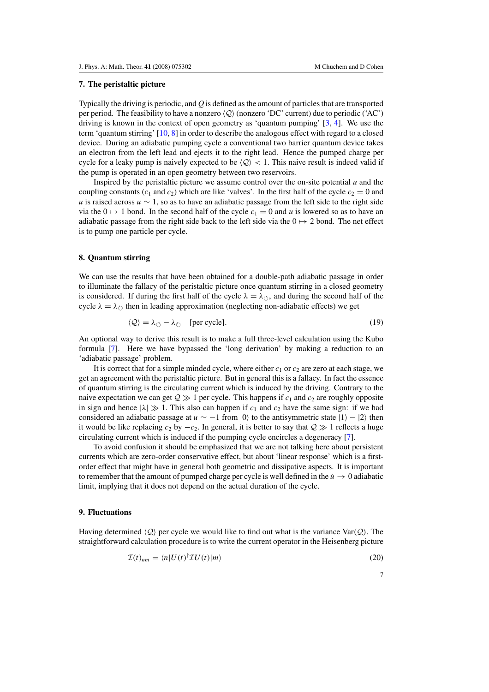# **7. The peristaltic picture**

Typically the driving is periodic, and *Q* is defined as the amount of particles that are transported per period. The feasibility to have a nonzero  $\langle Q \rangle$  (nonzero 'DC' current) due to periodic ('AC') driving is known in the context of open geometry as 'quantum pumping' [\[3](#page-10-0), [4\]](#page-10-0). We use the term 'quantum stirring' [\[10,](#page-10-0) [8](#page-10-0)] in order to describe the analogous effect with regard to a closed device. During an adiabatic pumping cycle a conventional two barrier quantum device takes an electron from the left lead and ejects it to the right lead. Hence the pumped charge per cycle for a leaky pump is naively expected to be  $\langle Q \rangle$  < 1. This naive result is indeed valid if the pump is operated in an open geometry between two reservoirs.

Inspired by the peristaltic picture we assume control over the on-site potential *u* and the coupling constants ( $c_1$  and  $c_2$ ) which are like 'valves'. In the first half of the cycle  $c_2 = 0$  and *u* is raised across *u* ∼ 1, so as to have an adiabatic passage from the left side to the right side via the  $0 \mapsto 1$  bond. In the second half of the cycle  $c_1 = 0$  and *u* is lowered so as to have an adiabatic passage from the right side back to the left side via the  $0 \mapsto 2$  bond. The net effect is to pump one particle per cycle.

## **8. Quantum stirring**

We can use the results that have been obtained for a double-path adiabatic passage in order to illuminate the fallacy of the peristaltic picture once quantum stirring in a closed geometry is considered. If during the first half of the cycle  $\lambda = \lambda_{\circlearrowleft}$ , and during the second half of the cycle  $\lambda = \lambda_{\circlearrowright}$  then in leading approximation (neglecting non-adiabatic effects) we get

$$
\langle \mathcal{Q} \rangle = \lambda_{\circlearrowleft} - \lambda_{\circlearrowright} \quad \text{[per cycle]}.
$$
\n<sup>(19)</sup>

An optional way to derive this result is to make a full three-level calculation using the Kubo formula [\[7\]](#page-10-0). Here we have bypassed the 'long derivation' by making a reduction to an 'adiabatic passage' problem.

It is correct that for a simple minded cycle, where either  $c_1$  or  $c_2$  are zero at each stage, we get an agreement with the peristaltic picture. But in general this is a fallacy. In fact the essence of quantum stirring is the circulating current which is induced by the driving. Contrary to the naive expectation we can get  $Q \gg 1$  per cycle. This happens if  $c_1$  and  $c_2$  are roughly opposite in sign and hence  $|\lambda| \gg 1$ . This also can happen if  $c_1$  and  $c_2$  have the same sign: if we had considered an adiabatic passage at  $u \sim -1$  from  $|0\rangle$  to the antisymmetric state  $|1\rangle - |2\rangle$  then it would be like replacing  $c_2$  by  $-c_2$ . In general, it is better to say that  $Q \gg 1$  reflects a huge circulating current which is induced if the pumping cycle encircles a degeneracy [\[7\]](#page-10-0).

To avoid confusion it should be emphasized that we are not talking here about persistent currents which are zero-order conservative effect, but about 'linear response' which is a firstorder effect that might have in general both geometric and dissipative aspects. It is important to remember that the amount of pumped charge per cycle is well defined in the  $\dot{u} \rightarrow 0$  adiabatic limit, implying that it does not depend on the actual duration of the cycle.

## **9. Fluctuations**

Having determined  $\langle Q \rangle$  per cycle we would like to find out what is the variance Var $(Q)$ . The straightforward calculation procedure is to write the current operator in the Heisenberg picture

$$
\mathcal{I}(t)_{nm} = \langle n|U(t)^{\dagger} \mathcal{I} U(t)|m\rangle \tag{20}
$$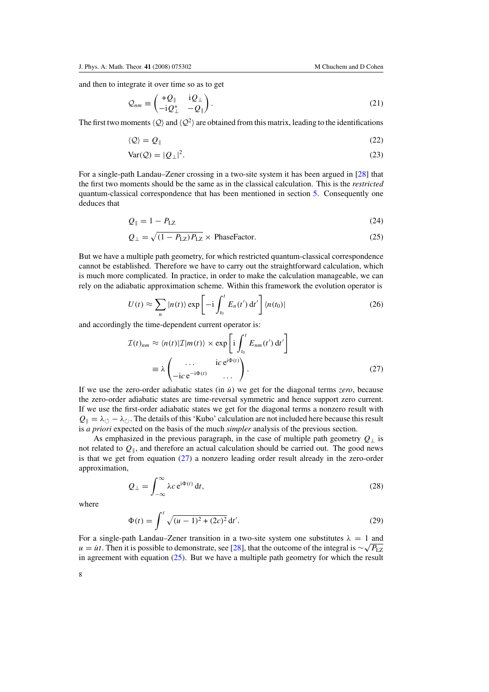and then to integrate it over time so as to get

$$
\mathcal{Q}_{nm} \equiv \begin{pmatrix} +\mathcal{Q}_{\parallel} & i\mathcal{Q}_{\perp} \\ -i\mathcal{Q}_{\perp}^* & -\mathcal{Q}_{\parallel} \end{pmatrix} . \tag{21}
$$

The first two moments  $\langle Q \rangle$  and  $\langle Q^2 \rangle$  are obtained from this matrix, leading to the identifications

$$
\langle \mathcal{Q} \rangle = \mathcal{Q}_{\parallel} \tag{22}
$$

$$
Var(Q) = |Q_{\perp}|^2. \tag{23}
$$

For a single-path Landau–Zener crossing in a two-site system it has been argued in [\[28\]](#page-10-0) that the first two moments should be the same as in the classical calculation. This is the *restricted* quantum-classical correspondence that has been mentioned in section [5.](#page-4-0) Consequently one deduces that

$$
Q_{\parallel} = 1 - P_{\text{LZ}} \tag{24}
$$

$$
Q_{\perp} = \sqrt{(1 - P_{\text{LZ}})P_{\text{LZ}}} \times \text{PhaseFactor.}
$$
 (25)

But we have a multiple path geometry, for which restricted quantum-classical correspondence cannot be established. Therefore we have to carry out the straightforward calculation, which is much more complicated. In practice, in order to make the calculation manageable, we can rely on the adiabatic approximation scheme. Within this framework the evolution operator is

$$
U(t) \approx \sum_{n} |n(t)\rangle \exp\left[-i \int_{t_0}^{t} E_n(t') dt'\right] \langle n(t_0)|
$$
 (26)

and accordingly the time-dependent current operator is:

$$
\mathcal{I}(t)_{nm} \approx \langle n(t)|\mathcal{I}|m(t)\rangle \times \exp\left[i\int_{t_0}^t E_{nm}(t') dt'\right]
$$

$$
\equiv \lambda \begin{pmatrix} \cdots & i c e^{i\Phi(t)} \\ -i c e^{-i\Phi(t)} & \cdots \end{pmatrix}.
$$
(27)

If we use the zero-order adiabatic states (in  $\dot{u}$ ) we get for the diagonal terms *zero*, because the zero-order adiabatic states are time-reversal symmetric and hence support zero current. If we use the first-order adiabatic states we get for the diagonal terms a nonzero result with  $Q_{\parallel} = \lambda_{\circlearrowleft} - \lambda_{\circlearrowright}$ . The details of this 'Kubo' calculation are not included here because this result is *a priori* expected on the basis of the much *simpler* analysis of the previous section.

As emphasized in the previous paragraph, in the case of multiple path geometry  $Q_{\perp}$  is not related to  $Q_{\parallel}$ , and therefore an actual calculation should be carried out. The good news is that we get from equation (27) a nonzero leading order result already in the zero-order approximation,

$$
Q_{\perp} = \int_{-\infty}^{\infty} \lambda c \, \mathrm{e}^{\mathrm{i} \Phi(t)} \, \mathrm{d}t,\tag{28}
$$

where

$$
\Phi(t) = \int^{t} \sqrt{(u-1)^2 + (2c)^2} dt'.
$$
\n(29)

For a single-path Landau–Zener transition in a two-site system one substitutes  $\lambda = 1$  and  $u = \dot{u}t$ . Then it is possible to demonstrate, see [\[28\]](#page-10-0), that the outcome of the integral is  $\sim \sqrt{P_L z}$ in agreement with equation  $(25)$ . But we have a multiple path geometry for which the result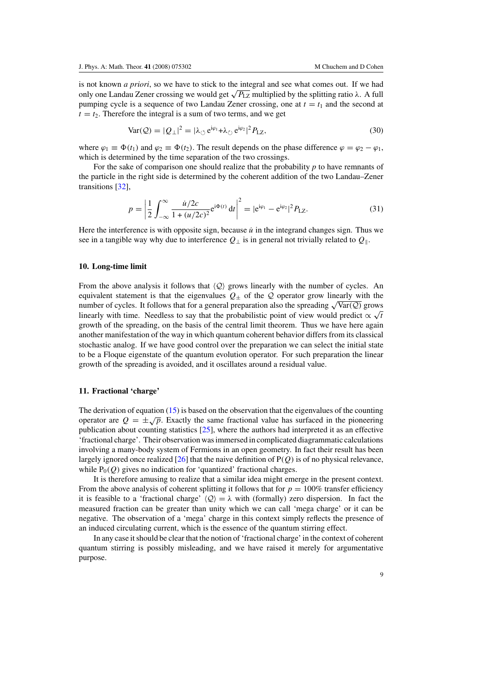<span id="page-8-0"></span>is not known *a priori*, so we have to stick to the integral and see what comes out. If we had only one Landau Zener crossing we would get  $\sqrt{P_{LZ}}$  multiplied by the splitting ratio  $\lambda$ . A full pumping cycle is a sequence of two Landau Zener crossing, one at  $t = t_1$  and the second at  $t = t<sub>2</sub>$ . Therefore the integral is a sum of two terms, and we get

$$
Var(Q) = |Q_{\perp}|^2 = |\lambda_{\circlearrowleft} e^{i\varphi_1} + \lambda_{\circlearrowright} e^{i\varphi_2}|^2 P_{LZ},
$$
\n(30)

where  $\varphi_1 \equiv \Phi(t_1)$  and  $\varphi_2 \equiv \Phi(t_2)$ . The result depends on the phase difference  $\varphi = \varphi_2 - \varphi_1$ , which is determined by the time separation of the two crossings.

For the sake of comparison one should realize that the probability *p* to have remnants of the particle in the right side is determined by the coherent addition of the two Landau–Zener transitions [\[32](#page-10-0)],

$$
p = \left| \frac{1}{2} \int_{-\infty}^{\infty} \frac{\dot{u}/2c}{1 + (u/2c)^2} e^{i\Phi(t)} dt \right|^2 = |e^{i\varphi_1} - e^{i\varphi_2}|^2 P_{\text{LZ}}.
$$
 (31)

Here the interference is with opposite sign, because  $\dot{u}$  in the integrand changes sign. Thus we see in a tangible way why due to interference  $Q_{\perp}$  is in general not trivially related to  $Q_{\parallel}$ .

# **10. Long-time limit**

From the above analysis it follows that  $\langle Q \rangle$  grows linearly with the number of cycles. An equivalent statement is that the eigenvalues  $Q_{\pm}$  of the  $Q$  operator grow linearly with the number of cycles. It follows that for a general preparation also the spreading  $\sqrt{\text{Var}(Q)}$  grows linearly with time. Needless to say that the probabilistic point of view would predict  $\propto \sqrt{t}$ growth of the spreading, on the basis of the central limit theorem. Thus we have here again another manifestation of the way in which quantum coherent behavior differs from its classical stochastic analog. If we have good control over the preparation we can select the initial state to be a Floque eigenstate of the quantum evolution operator. For such preparation the linear growth of the spreading is avoided, and it oscillates around a residual value.

# **11. Fractional 'charge'**

The derivation of equation  $(15)$  is based on the observation that the eigenvalues of the counting operator are  $Q = \pm \sqrt{p}$ . Exactly the same fractional value has surfaced in the pioneering publication about counting statistics [\[25\]](#page-10-0), where the authors had interpreted it as an effective 'fractional charge'. Their observation was immersed in complicated diagrammatic calculations involving a many-body system of Fermions in an open geometry. In fact their result has been largely ignored once realized [\[26\]](#page-10-0) that the naive definition of P*(Q)* is of no physical relevance, while  $P_0(Q)$  gives no indication for 'quantized' fractional charges.

It is therefore amusing to realize that a similar idea might emerge in the present context. From the above analysis of coherent splitting it follows that for  $p = 100\%$  transfer efficiency it is feasible to a 'fractional charge'  $\langle Q \rangle = \lambda$  with (formally) zero dispersion. In fact the measured fraction can be greater than unity which we can call 'mega charge' or it can be negative. The observation of a 'mega' charge in this context simply reflects the presence of an induced circulating current, which is the essence of the quantum stirring effect.

In any case it should be clear that the notion of 'fractional charge' in the context of coherent quantum stirring is possibly misleading, and we have raised it merely for argumentative purpose.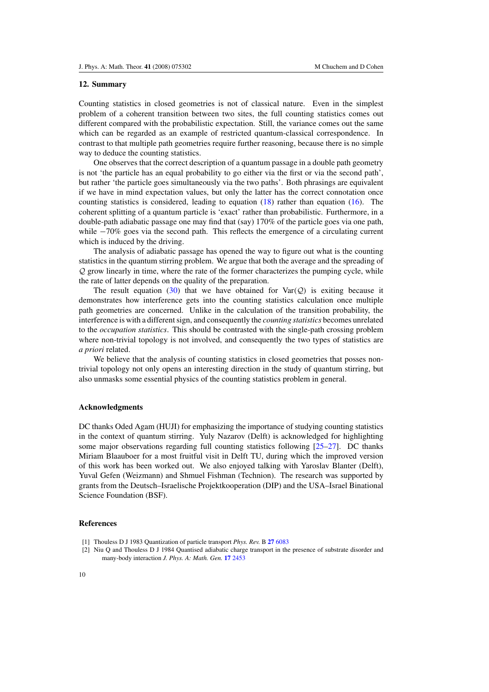## <span id="page-9-0"></span>**12. Summary**

Counting statistics in closed geometries is not of classical nature. Even in the simplest problem of a coherent transition between two sites, the full counting statistics comes out different compared with the probabilistic expectation. Still, the variance comes out the same which can be regarded as an example of restricted quantum-classical correspondence. In contrast to that multiple path geometries require further reasoning, because there is no simple way to deduce the counting statistics.

One observes that the correct description of a quantum passage in a double path geometry is not 'the particle has an equal probability to go either via the first or via the second path', but rather 'the particle goes simultaneously via the two paths'. Both phrasings are equivalent if we have in mind expectation values, but only the latter has the correct connotation once counting statistics is considered, leading to equation  $(18)$  rather than equation  $(16)$ . The coherent splitting of a quantum particle is 'exact' rather than probabilistic. Furthermore, in a double-path adiabatic passage one may find that (say) 170% of the particle goes via one path, while −70% goes via the second path. This reflects the emergence of a circulating current which is induced by the driving.

The analysis of adiabatic passage has opened the way to figure out what is the counting statistics in the quantum stirring problem. We argue that both the average and the spreading of Q grow linearly in time, where the rate of the former characterizes the pumping cycle, while the rate of latter depends on the quality of the preparation.

The result equation [\(30\)](#page-8-0) that we have obtained for  $\text{Var}(\mathcal{Q})$  is exiting because it demonstrates how interference gets into the counting statistics calculation once multiple path geometries are concerned. Unlike in the calculation of the transition probability, the interference is with a different sign, and consequently the *counting statistics* becomes unrelated to the *occupation statistics*. This should be contrasted with the single-path crossing problem where non-trivial topology is not involved, and consequently the two types of statistics are *a priori* related.

We believe that the analysis of counting statistics in closed geometries that posses nontrivial topology not only opens an interesting direction in the study of quantum stirring, but also unmasks some essential physics of the counting statistics problem in general.

## **Acknowledgments**

DC thanks Oded Agam (HUJI) for emphasizing the importance of studying counting statistics in the context of quantum stirring. Yuly Nazarov (Delft) is acknowledged for highlighting some major observations regarding full counting statistics following [\[25–27](#page-10-0)]. DC thanks Miriam Blaauboer for a most fruitful visit in Delft TU, during which the improved version of this work has been worked out. We also enjoyed talking with Yaroslav Blanter (Delft), Yuval Gefen (Weizmann) and Shmuel Fishman (Technion). The research was supported by grants from the Deutsch–Israelische Projektkooperation (DIP) and the USA–Israel Binational Science Foundation (BSF).

## **References**

[2] Niu Q and Thouless D J 1984 Quantised adiabatic charge transport in the presence of substrate disorder and many-body interaction *J. Phys. A: Math. Gen.* **17** [2453](http://dx.doi.org/10.1088/0305-4470/17/12/016)

<sup>[1]</sup> Thouless D J 1983 Quantization of particle transport *Phys. Rev.* B **27** [6083](http://dx.doi.org/10.1103/PhysRevB.27.6083)